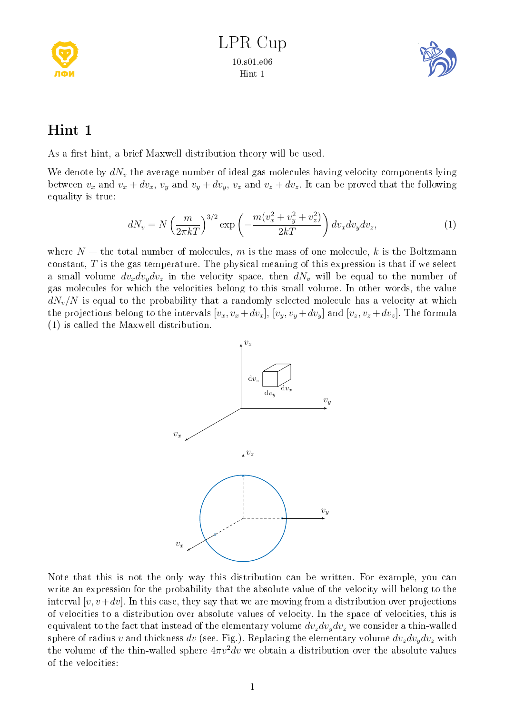



## Hint 1

As a first hint, a brief Maxwell distribution theory will be used.

We denote by  $dN_v$  the average number of ideal gas molecules having velocity components lying between  $v_x$  and  $v_x + dv_x$ ,  $v_y$  and  $v_y + dv_y$ ,  $v_z$  and  $v_z + dv_z$ . It can be proved that the following equality is true:

$$
dN_v = N\left(\frac{m}{2\pi kT}\right)^{3/2} \exp\left(-\frac{m(v_x^2 + v_y^2 + v_z^2)}{2kT}\right) dv_x dv_y dv_z,
$$
\n(1)

where  $N$  – the total number of molecules, m is the mass of one molecule, k is the Boltzmann constant,  $T$  is the gas temperature. The physical meaning of this expression is that if we select a small volume  $dv_x dv_y dv_z$  in the velocity space, then  $dN_v$  will be equal to the number of gas molecules for which the velocities belong to this small volume. In other words, the value  $dN_v/N$  is equal to the probability that a randomly selected molecule has a velocity at which the projections belong to the intervals  $[v_x, v_x + dv_x]$ ,  $[v_y, v_y + dv_y]$  and  $[v_z, v_z + dv_z]$ . The formula (1) is called the Maxwell distribution.



Note that this is not the only way this distribution can be written. For example, you can write an expression for the probability that the absolute value of the velocity will belong to the interval  $[v, v+dv]$ . In this case, they say that we are moving from a distribution over projections of velocities to a distribution over absolute values of velocity. In the space of velocities, this is equivalent to the fact that instead of the elementary volume  $dv_z dv_y dv_z$  we consider a thin-walled sphere of radius v and thickness dv (see. Fig.). Replacing the elementary volume  $dv_z dv_y dv_z$  with the volume of the thin-walled sphere  $4\pi v^2 dv$  we obtain a distribution over the absolute values of the velocities: